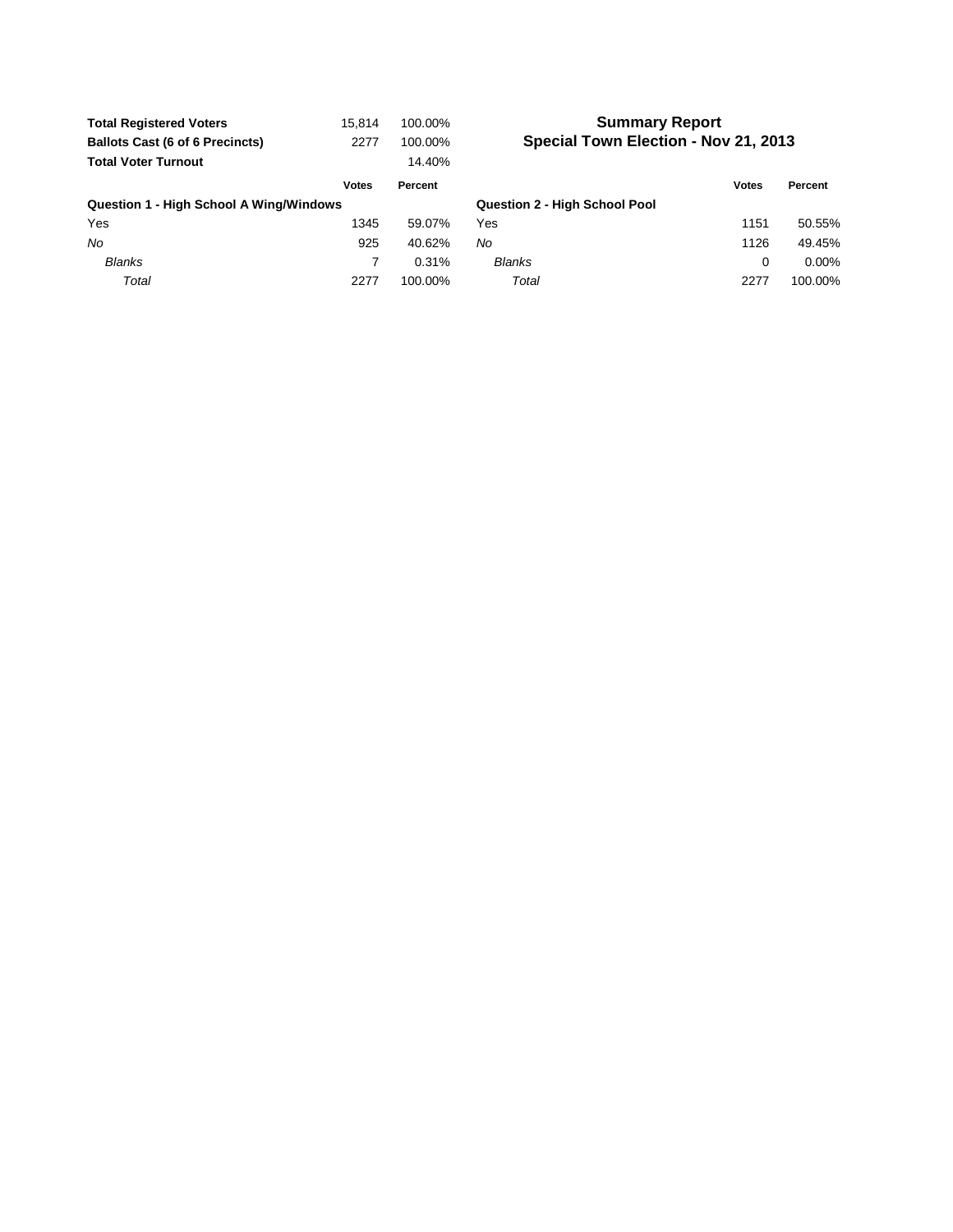| <b>Total Registered Voters</b>                 | 15.814       | 100.00% |                                      | Summai                   |
|------------------------------------------------|--------------|---------|--------------------------------------|--------------------------|
| <b>Ballots Cast (6 of 6 Precincts)</b>         | 2277         | 100.00% |                                      | <b>Special Town Eleo</b> |
| <b>Total Voter Turnout</b>                     |              | 14.40%  |                                      |                          |
|                                                | <b>Votes</b> | Percent |                                      |                          |
| <b>Question 1 - High School A Wing/Windows</b> |              |         | <b>Question 2 - High School Pool</b> |                          |
| Yes                                            | 1345         | 59.07%  | Yes                                  |                          |
| No                                             | 925          | 40.62%  | No                                   |                          |
| <b>Blanks</b>                                  |              | 0.31%   | <b>Blanks</b>                        |                          |
| Total                                          | 2277         | 100.00% | Total                                |                          |
|                                                |              |         |                                      |                          |

## **Summary Report Special Town Election - Nov 21, 2013**

|                                         | Votes | Percent |                                      | <b>Votes</b> | Percent  |
|-----------------------------------------|-------|---------|--------------------------------------|--------------|----------|
| Question 1 - High School A Wing/Windows |       |         | <b>Question 2 - High School Pool</b> |              |          |
| Yes                                     | 1345  | 59.07%  | Yes                                  | 1151         | 50.55%   |
| No                                      | 925   | 40.62%  | No                                   | 1126         | 49.45%   |
| <b>Blanks</b>                           |       | 0.31%   | <b>Blanks</b>                        |              | $0.00\%$ |
| Total                                   | 2277  | 100.00% | Total                                | 2277         | 100.00%  |
|                                         |       |         |                                      |              |          |